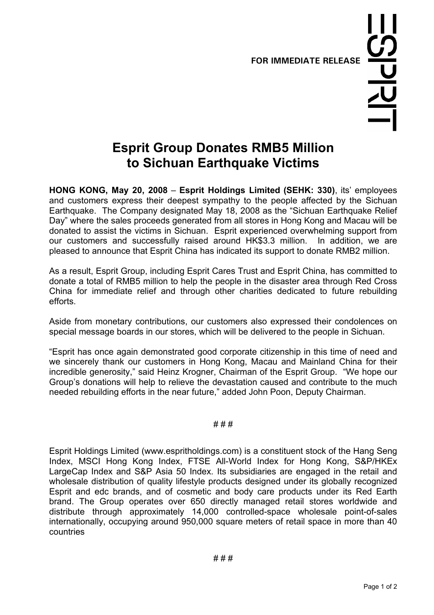**FOR IMMEDIATE RELEASE** 

## **Esprit Group Donates RMB5 Million to Sichuan Earthquake Victims**

**HONG KONG, May 20, 2008** – **Esprit Holdings Limited (SEHK: 330)**, its' employees and customers express their deepest sympathy to the people affected by the Sichuan Earthquake. The Company designated May 18, 2008 as the "Sichuan Earthquake Relief Day" where the sales proceeds generated from all stores in Hong Kong and Macau will be donated to assist the victims in Sichuan. Esprit experienced overwhelming support from our customers and successfully raised around HK\$3.3 million. In addition, we are pleased to announce that Esprit China has indicated its support to donate RMB2 million.

As a result, Esprit Group, including Esprit Cares Trust and Esprit China, has committed to donate a total of RMB5 million to help the people in the disaster area through Red Cross China for immediate relief and through other charities dedicated to future rebuilding efforts.

Aside from monetary contributions, our customers also expressed their condolences on special message boards in our stores, which will be delivered to the people in Sichuan.

"Esprit has once again demonstrated good corporate citizenship in this time of need and we sincerely thank our customers in Hong Kong, Macau and Mainland China for their incredible generosity," said Heinz Krogner, Chairman of the Esprit Group. "We hope our Group's donations will help to relieve the devastation caused and contribute to the much needed rebuilding efforts in the near future," added John Poon, Deputy Chairman.

## # # #

Esprit Holdings Limited (www.espritholdings.com) is a constituent stock of the Hang Seng Index, MSCI Hong Kong Index, FTSE All-World Index for Hong Kong, S&P/HKEx LargeCap Index and S&P Asia 50 Index. Its subsidiaries are engaged in the retail and wholesale distribution of quality lifestyle products designed under its globally recognized Esprit and edc brands, and of cosmetic and body care products under its Red Earth brand. The Group operates over 650 directly managed retail stores worldwide and distribute through approximately 14,000 controlled-space wholesale point-of-sales internationally, occupying around 950,000 square meters of retail space in more than 40 countries